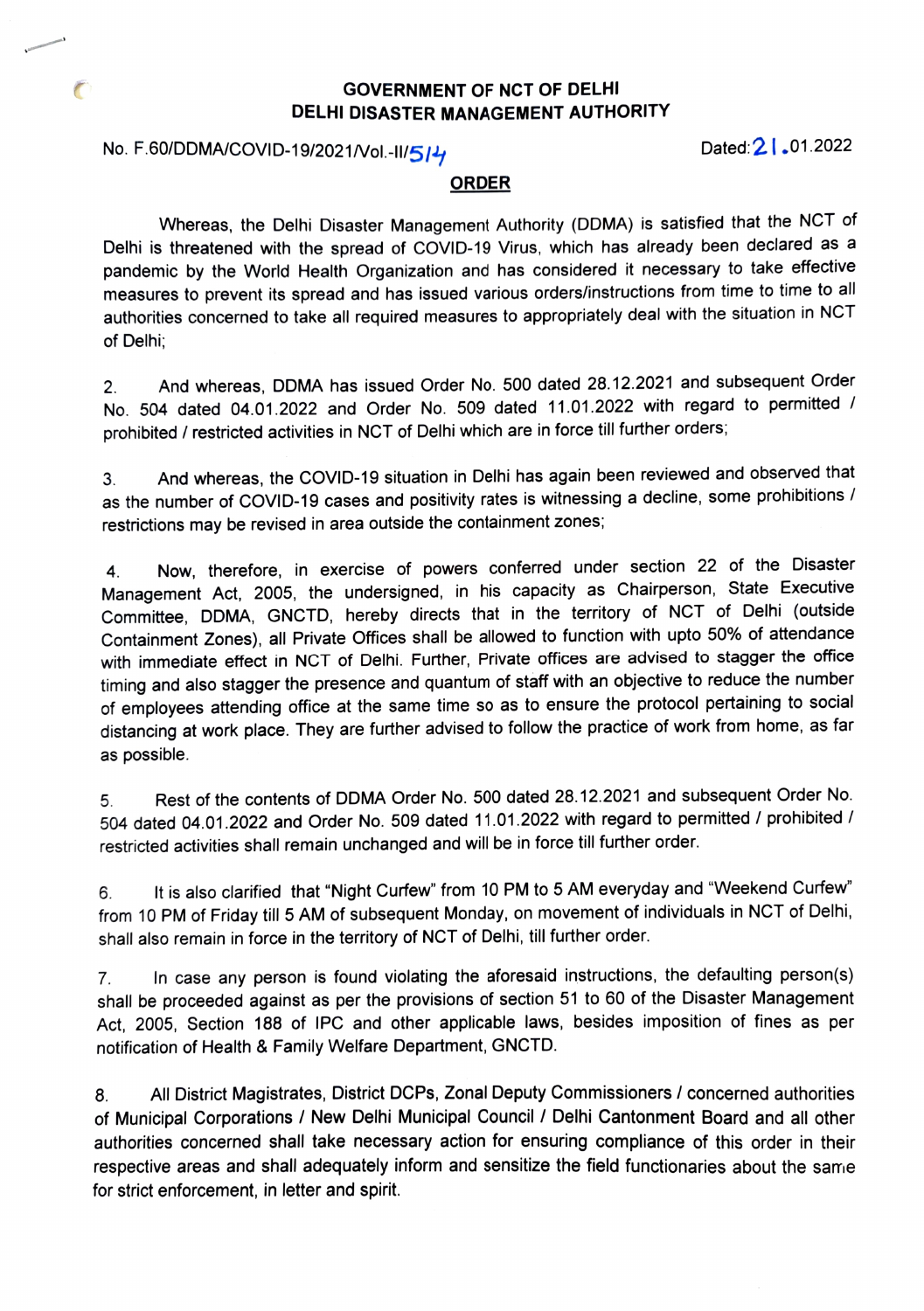### GOVERNMENT OF NCT OF DELHI DELHI DISASTER MANAGEMENT AUTHORITY

# No. F.60/DDMA/COVID-19/2021/Vol.-II/5/4 COVID-19/2021

 $\sqrt{2}$ 

#### ORDER

Whereas, the Delhi Disaster Management Authority (DDMA) is satisfied that the NCT of Delhi is threatened with the spread of COVID-19 Virus, which has already been declared as a pandemic by the World Health Organization and has considered it necessary to take effective measures to prevent its spread and has issued various orders/instructions from time to time to al authorities concerned to take all required measures to appropriately deal with the situation in NCT of Delhi;

And whereas, DDMA has issued Order No. 500 dated 28.12.2021 and subsequent Order No. 504 dated 04.01.2022 and Order No. 509 dated 11.01.2022 with regard to permitted prohibited / restricted activities in NCT of Delhi which are in force till further orders; 2.

3. And whereas, the COvID-19 situation in Delhi has again been reviewed and observed that as the number of COVID-19 cases and positivity rates is witnessing a decline, some prohibitions / restrictions may be revised in area outside the containment zones;

Now, therefore, in exercise of powers conferred under section 22 of the Disaster Management Act, 2005, the undersigned, in his capacity as Chairperson, State Executive Committee, DDMA, GNCTD, hereby directs that in the territory of NCT of Delhi (outside Containment Zones), all Private Offices shall be allowed to function with upto 50% of attendar with immediate effect in NCT of Delhi. Further, Private offices are advised to stagger the office timing and also stagger the presence and quantum of staff with an objective to reduce the number of employees attending office at the same time so as to ensure the protocol pertaining to social distancing at work place. They are further advised to follow the practice of work from home, as far 4. as possible.

5 Rest of the contents of DDMA Order No. 500 dated 28.12.2021 and subsequent Order No. 504 dated 04.01.2022 and Order No. 509 dated 11.01.2022 with regard to permitted/ prohibited restricted activities shall remain unchanged and will be in force till further order.

6 from 10 PM of Friday till 5 AM of subsequent Monday, on movement of individuals in NCT of Delhi, It is also clarified that "Night Curfew" from 10 PM to 5 AM everyday and "Weekend Curfew" shall also remain in force in the territory of NCT of Delhi, till further order.

In case any person is found violating the aforesaid instructions, the defaulting person(s) shall be proceeded against as per the provisions of section 51 to 60 of the Disaster Management Act, 2005, Section 188 of IPC and other applicable laws, besides imposition of fines as per notification of Health& Family Welfare Department, GNCTD. 7.

8 of Municipal Corporations / New Delhi Municipal Council / Delhi Cantonment Board and all other authorities concerned shall take necessary action for ensuring compliance of this order in their respective areas and shall adequately inform and sensitize the field functionaries about the same for strict enforcement, in letter and spirit. All District Magistrates, District DCPs, Zonal Deputy Commissioners / concerned authorities